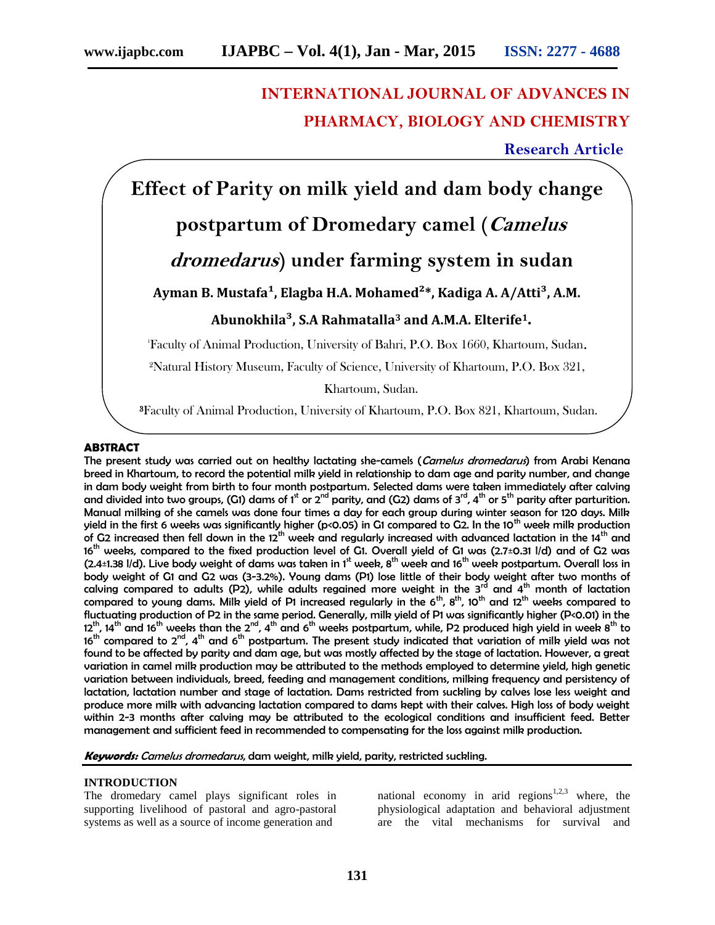## **INTERNATIONAL JOURNAL OF ADVANCES IN PHARMACY, BIOLOGY AND CHEMISTRY**

**Research Article**

**Effect of Parity on milk yield and dam body change**

## **postpartum of Dromedary camel (***Camelus*

## *dromedarus***) under farming system in sudan**

# Ayman B. Mustafa<sup>1</sup>, Elagba H.A. Mohamed<sup>2</sup>\*, Kadiga A. A/Atti<sup>3</sup>, A.M.

### **Abunokhila³, S.A Rahmatalla<sup>3</sup> and A.M.A. Elterife1.**

<sup>1</sup>Faculty of Animal Production, University of Bahri, P.O. Box 1660, Khartoum, Sudan**.**

²Natural History Museum, Faculty of Science, University of Khartoum, P.O. Box 321,

Khartoum, Sudan.

**³**Faculty of Animal Production, University of Khartoum, P.O. Box 821, Khartoum, Sudan.

#### **ABSTRACT**

The present study was carried out on healthy lactating she-camels (*Camelus dromedarus*) from Arabi Kenana breed in Khartoum, to record the potential milk yield in relationship to dam age and parity number, and change in dam body weight from birth to four month postpartum. Selected dams were taken immediately after calving and divided into two groups, (G1) dams of  $1^{\text{st}}$  or  $2^{\text{nd}}$  parity, and (G2) dams of  $3^{\text{rd}}$ ,  $4^{\text{th}}$  or  $5^{\text{th}}$  parity after parturition. Manual milking of she camels was done four times a day for each group during winter season for 120 days. Milk yield in the first 6 weeks was significantly higher (p<0.05) in G1 compared to G2. In the 10<sup>th</sup> week milk production of G2 increased then fell down in the 12<sup>th</sup> week and regularly increased with advanced lactation in the 14<sup>th</sup> and 16<sup>th</sup> weeks, compared to the fixed production level of G1. Overall yield of G1 was (2.7±0.31 l/d) and of G2 was (2.4±1.38 I/d). Live body weight of dams was taken in 1st week,  $8^{th}$  week and 16<sup>th</sup> week postpartum. Overall loss in body weight of G1 and G2 was (3-3.2%). Young dams (P1) lose little of their body weight after two months of calving compared to adults (P2), while adults regained more weight in the 3 $^{\rm rd}$  and 4 $^{\rm th}$  month of lactation compared to young dams. Milk yield of P1 increased regularly in the 6<sup>th</sup>, 8<sup>th</sup>, 10<sup>th</sup> and 12<sup>th</sup> weeks compared to fluctuating production of P2 in the same period. Generally, milk yield of P1 was significantly higher (P<0.01) in the  $12^{th}$ , 14<sup>th</sup> and 16<sup>th</sup> weeks than the 2<sup>nd</sup>, 4<sup>th</sup> and 6<sup>th</sup> weeks postpartum, while, P2 produced high yield in week 8<sup>th</sup> to 16<sup>th</sup> compared to  $2^{nd}$ , 4<sup>th</sup> and 6<sup>th</sup> postpartum. The present study indicated that variation of milk yield was not found to be affected by parity and dam age, but was mostly affected by the stage of lactation. However, a great variation in camel milk production may be attributed to the methods employed to determine yield, high genetic variation between individuals, breed, feeding and management conditions, milking frequency and persistency of lactation, lactation number and stage of lactation. Dams restricted from suckling by calves lose less weight and produce more milk with advancing lactation compared to dams kept with their calves. High loss of body weight within 2-3 months after calving may be attributed to the ecological conditions and insufficient feed. Better management and sufficient feed in recommended to compensating for the loss against milk production.

*Keywords: Camelus dromedarus*, dam weight, milk yield, parity, restricted suckling.

#### **INTRODUCTION**

The dromedary camel plays significant roles in supporting livelihood of pastoral and agro-pastoral systems as well as a source of income generation and

national economy in arid regions<sup>1,2,3</sup> where, the physiological adaptation and behavioral adjustment are the vital mechanisms for survival and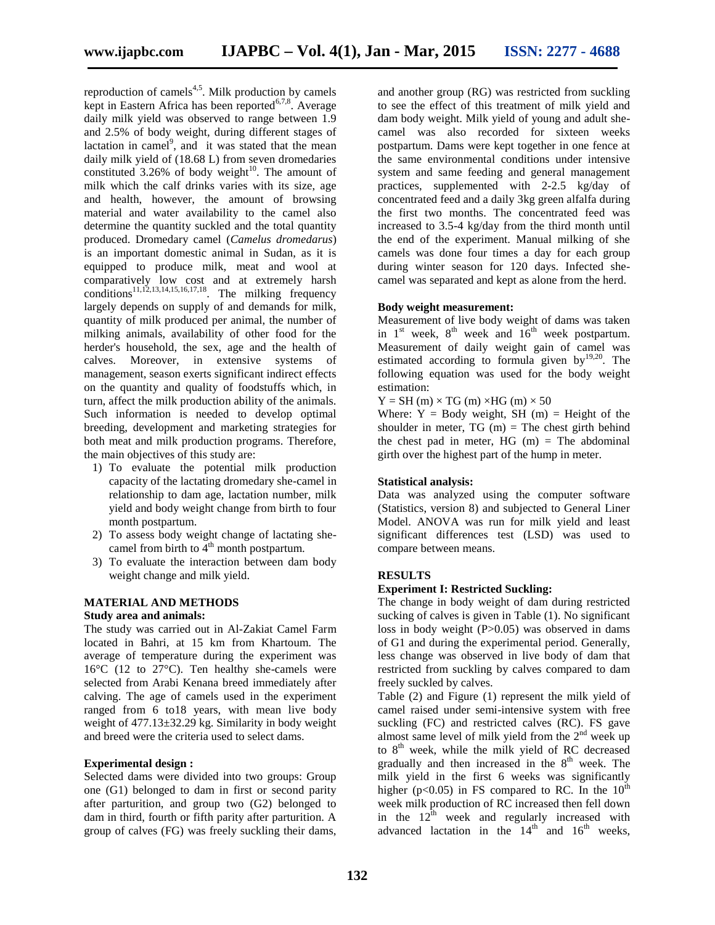reproduction of camels $4.5$ . Milk production by camels kept in Eastern Africa has been reported $67,8$ . Average daily milk yield was observed to range between 1.9 and 2.5% of body weight, during different stages of lactation in camel<sup>9</sup>, and it was stated that the mean daily milk yield of (18.68 L) from seven dromedaries constituted  $3.26\%$  of body weight<sup>10</sup>. The amount of milk which the calf drinks varies with its size, age and health, however, the amount of browsing material and water availability to the camel also determine the quantity suckled and the total quantity produced. Dromedary camel (*Camelus dromedarus*) is an important domestic animal in Sudan, as it is equipped to produce milk, meat and wool at comparatively low cost and at extremely harsh conditions<sup>11,12,13,14,15,16,17,18</sup>. The milking frequency largely depends on supply of and demands for milk, quantity of milk produced per animal, the number of milking animals, availability of other food for the herder's household, the sex, age and the health of calves. Moreover, in extensive systems of management, season exerts significant indirect effects on the quantity and quality of foodstuffs which, in turn, affect the milk production ability of the animals. Such information is needed to develop optimal breeding, development and marketing strategies for both meat and milk production programs. Therefore, the main objectives of this study are:

- 1) To evaluate the potential milk production capacity of the lactating dromedary she-camel in relationship to dam age, lactation number, milk yield and body weight change from birth to four month postpartum.
- 2) To assess body weight change of lactating she camel from birth to  $4<sup>th</sup>$  month postpartum.
- 3) To evaluate the interaction between dam body weight change and milk yield.

#### **MATERIAL AND METHODS**

#### **Study area and animals:**

The study was carried out in Al-Zakiat Camel Farm located in Bahri, at 15 km from Khartoum. The average of temperature during the experiment was 16°C (12 to 27°C). Ten healthy she-camels were selected from Arabi Kenana breed immediately after calving. The age of camels used in the experiment ranged from 6 to18 years, with mean live body weight of 477.13±32.29 kg. Similarity in body weight and breed were the criteria used to select dams.

#### **Experimental design :**

Selected dams were divided into two groups: Group one (G1) belonged to dam in first or second parity after parturition, and group two (G2) belonged to dam in third, fourth or fifth parity after parturition. A group of calves (FG) was freely suckling their dams,

and another group (RG) was restricted from suckling to see the effect of this treatment of milk yield and dam body weight. Milk yield of young and adult she camel was also recorded for sixteen weeks postpartum. Dams were kept together in one fence at the same environmental conditions under intensive system and same feeding and general management practices, supplemented with 2-2.5 kg/day of concentrated feed and a daily 3kg green alfalfa during the first two months. The concentrated feed was increased to 3.5-4 kg/day from the third month until the end of the experiment. Manual milking of she camels was done four times a day for each group during winter season for 120 days. Infected she camel was separated and kept as alone from the herd.

#### **Body weight measurement:**

Measurement of live body weight of dams was taken in  $1<sup>st</sup>$  week,  $8<sup>th</sup>$  week and  $16<sup>th</sup>$  week postpartum. Measurement of daily weight gain of camel was estimated according to formula given by $19,20$ . The following equation was used for the body weight estimation:

 $Y = SH(m) \times TG(m) \times HG(m) \times 50$ 

Where:  $Y = Body weight$ , SH (m) = Height of the shoulder in meter,  $TG(m) = The chest girth behind$ the chest pad in meter. HG  $(m)$  = The abdominal girth over the highest part of the hump in meter.

#### **Statistical analysis:**

Data was analyzed using the computer software (Statistics, version 8) and subjected to General Liner Model. ANOVA was run for milk yield and least significant differences test (LSD) was used to compare between means.

#### **RESULTS**

#### **Experiment I: Restricted Suckling:**

The change in body weight of dam during restricted sucking of calves is given in Table (1). No significant loss in body weight (P>0.05) was observed in dams of G1 and during the experimental period. Generally, less change was observed in live body of dam that restricted from suckling by calves compared to dam freely suckled by calves.

Table (2) and Figure (1) represent the milk yield of camel raised under semi-intensive system with free suckling (FC) and restricted calves (RC). FS gave almost same level of milk yield from the  $2<sup>nd</sup>$  week up to  $8<sup>th</sup>$  week, while the milk yield of RC decreased gradually and then increased in the  $8<sup>th</sup>$  week. The milk yield in the first 6 weeks was significantly higher (p<0.05) in FS compared to RC. In the  $10^{th}$ week milk production of RC increased then fell down in the  $12^{th}$  week and regularly increased with advanced lactation in the  $14<sup>th</sup>$  and  $16<sup>th</sup>$  weeks,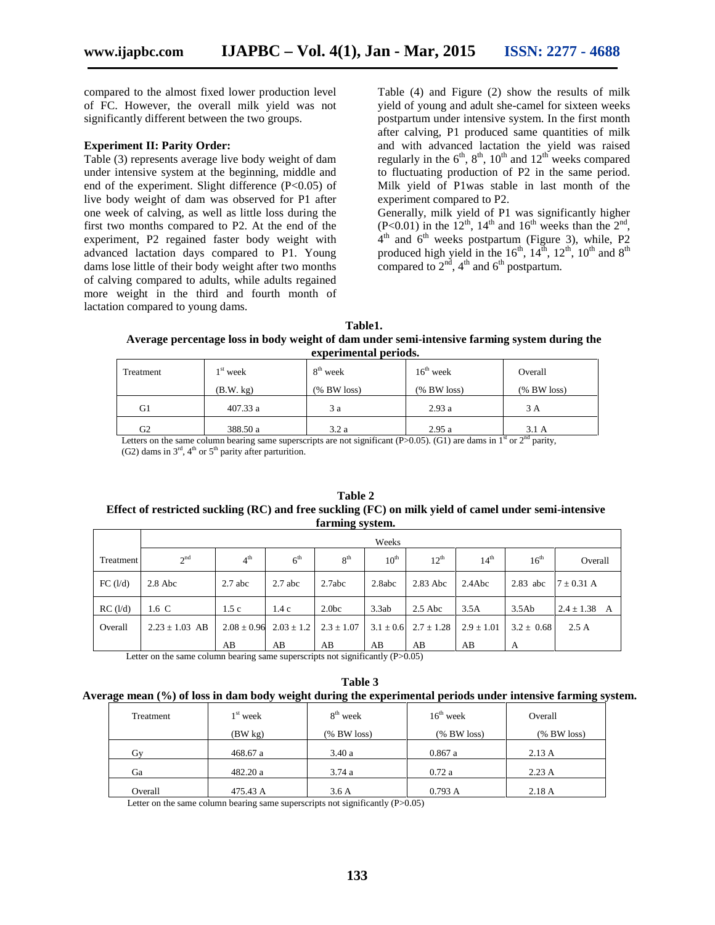compared to the almost fixed lower production level of FC. However, the overall milk yield was not significantly different between the two groups.

#### **Experiment II: Parity Order:**

Table (3) represents average live body weight of dam under intensive system at the beginning, middle and end of the experiment. Slight difference (P<0.05) of live body weight of dam was observed for P1 after one week of calving, as well as little loss during the first two months compared to P2. At the end of the experiment, P2 regained faster body weight with advanced lactation days compared to P1. Young dams lose little of their body weight after two months of calving compared to adults, while adults regained more weight in the third and fourth month of lactation compared to young dams.

Table (4) and Figure (2) show the results of milk yield of young and adult she-camel for sixteen weeks postpartum under intensive system. In the first month after calving, P1 produced same quantities of milk and with advanced lactation the yield was raised regularly in the  $6<sup>th</sup>$ ,  $8<sup>th</sup>$ ,  $10<sup>th</sup>$  and  $12<sup>th</sup>$  weeks compared to fluctuating production of P2 in the same period. Milk yield of P1was stable in last month of the experiment compared to P2.

Generally, milk yield of P1 was significantly higher  $(P<0.01)$  in the 12<sup>th</sup>, 14<sup>th</sup> and 16<sup>th</sup> weeks than the 2<sup>nd</sup>,  $4<sup>th</sup>$  and  $6<sup>th</sup>$  weeks postpartum (Figure 3), while, P2 produced high yield in the  $16<sup>th</sup>$ ,  $14<sup>th</sup>$ ,  $12<sup>th</sup>$ ,  $10<sup>th</sup>$  and  $8<sup>th</sup>$ compared to  $2<sup>nd</sup>$ ,  $4<sup>th</sup>$  and  $6<sup>th</sup>$  postpartum.

| Table1.                                                                                      |
|----------------------------------------------------------------------------------------------|
| Average percentage loss in body weight of dam under semi-intensive farming system during the |
| experimental periods.                                                                        |

| Treatment | $1st$ week | $8th$ week  | $16th$ week    | Overall        |  |  |  |  |  |
|-----------|------------|-------------|----------------|----------------|--|--|--|--|--|
|           | (B.W. kg)  | (% BW loss) | $(\%$ BW loss) | $(\%$ BW loss) |  |  |  |  |  |
| G1        | 407.33 a   | 3 a         | 2.93a          | 3 A            |  |  |  |  |  |
| G2        | 388.50 a   | 3.2a        | 2.95a          | 3.1A           |  |  |  |  |  |

Letters on the same column bearing same superscripts are not significant (P>0.05). (G1) are dams in  $1<sup>st</sup>$  or  $2<sup>nd</sup>$  parity, (G2) dams in  $3<sup>rd</sup>$ ,  $4<sup>th</sup>$  or  $5<sup>th</sup>$  parity after parturition.

#### **Table 2 Effect of restricted suckling (RC) and free suckling (FC) on milk yield of camel under semi-intensive farming system.**

|                | Weeks              |                 |                 |                   |                                                        |                  |                  |                  |                  |
|----------------|--------------------|-----------------|-----------------|-------------------|--------------------------------------------------------|------------------|------------------|------------------|------------------|
| Treatment      | 2 <sup>nd</sup>    | 4 <sup>th</sup> | 6 <sup>th</sup> | 8 <sup>th</sup>   | $10^{\text{th}}$                                       | 12 <sup>th</sup> | 14 <sup>th</sup> | $16^{\text{th}}$ | Overall          |
| FC (l/d)       | $2.8$ Abc          | $2.7$ abc       | $2.7$ abc       | 2.7abc            | 2.8abc                                                 | $2.83$ Abc       | 2.4Abc           | $2.83$ abc       | $7 \pm 0.31$ A   |
| $RC$ ( $1/d$ ) | 1.6 C              | 1.5c            | 1.4c            | 2.0 <sub>bc</sub> | 3.3ab                                                  | $2.5$ Abc        | 3.5A             | 3.5Ab            | $2.4 \pm 1.38$ A |
| Overall        | $2.23 \pm 1.03$ AB | $2.08 \pm 0.96$ | $2.03 \pm 1.2$  | $2.3 \pm 1.07$    | $3.1 \pm 0.6$                                          | $2.7 \pm 1.28$   | $2.9 \pm 1.01$   | $3.2 \pm 0.68$   | 2.5A             |
|                | $\sim$             | AB<br>.         | AB              | AB                | AB<br>$\sim$ $\sim$ $\sim$ $\sim$ $\sim$ $\sim$ $\sim$ | AB               | AB               | A                |                  |

Letter on the same column bearing same superscripts not significantly (P>0.05)

**Table 3 Average mean (%) of loss in dam body weight during the experimental periods under intensive farming system.**

| Treatment | $1st$ week | $8th$ week     | $16th$ week    | Overall        |  |
|-----------|------------|----------------|----------------|----------------|--|
|           | (BW kg)    | $(\%$ BW loss) | $(\%$ BW loss) | $(\%$ BW loss) |  |
| Gv        | 468.67 a   | 3.40a          | 0.867a         | 2.13A          |  |
| Ga        | 482.20 a   | 3.74a          | 0.72a          | 2.23 A         |  |
| Overall   | 475.43 A   | 3.6A           | 0.793 A        | 2.18A          |  |

Letter on the same column bearing same superscripts not significantly (P>0.05)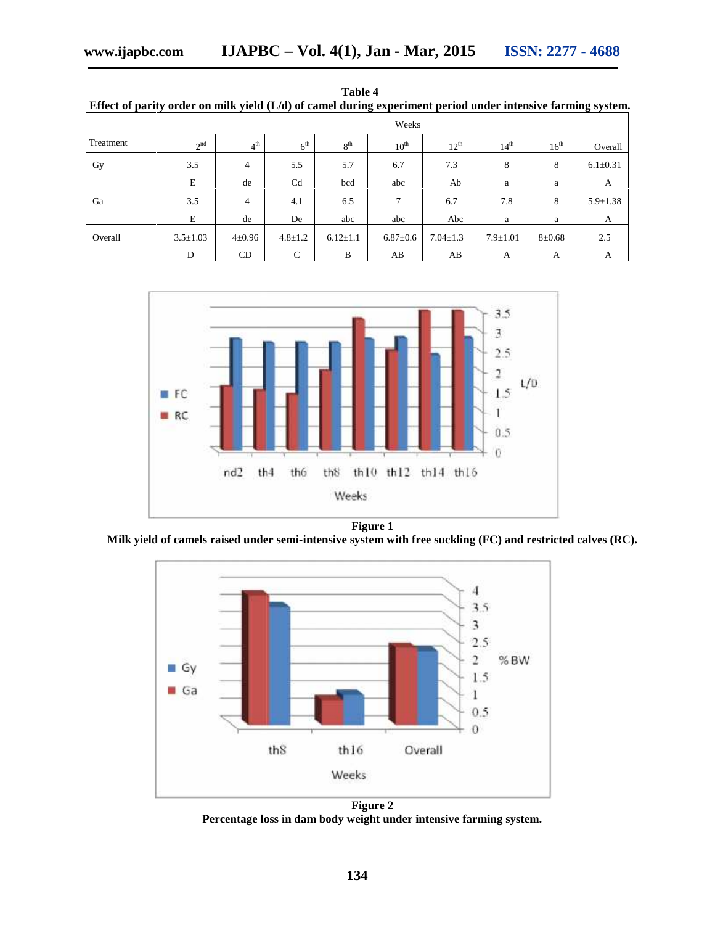|           | Effect of parity order on milk yield (L/d) of camel during experiment period under intensive farming system. |                 |                 |                 |                  |                  |                  |                  |                |
|-----------|--------------------------------------------------------------------------------------------------------------|-----------------|-----------------|-----------------|------------------|------------------|------------------|------------------|----------------|
|           | Weeks                                                                                                        |                 |                 |                 |                  |                  |                  |                  |                |
| Treatment | 2 <sup>nd</sup>                                                                                              | 4 <sup>th</sup> | 6 <sup>th</sup> | 8 <sup>th</sup> | $10^{\text{th}}$ | $12^{\text{th}}$ | 14 <sup>th</sup> | $16^{\text{th}}$ | Overall        |
| Gy        | 3.5                                                                                                          | 4               | 5.5             | 5.7             | 6.7              | 7.3              | 8                | 8                | $6.1 \pm 0.31$ |
|           | E                                                                                                            | de              | C <sub>d</sub>  | bcd             | abc              | Ab               | a                | a                | A              |
| Ga        | 3.5                                                                                                          | 4               | 4.1             | 6.5             | 7                | 6.7              | 7.8              | 8                | $5.9 \pm 1.38$ |
|           | E                                                                                                            | de              | De              | abc             | abc              | Abc              | a                | a                | A              |
| Overall   | $3.5 \pm 1.03$                                                                                               | $4 \pm 0.96$    | $4.8 \pm 1.2$   | $6.12{\pm}1.1$  | $6.87{\pm}0.6$   | $7.04 \pm 1.3$   | $7.9 \pm 1.01$   | $8 + 0.68$       | 2.5            |
|           | D                                                                                                            | <b>CD</b>       | C               | B               | AB               | AB               | А                | А                | А              |





**Figure 1**

**Milk yield of camels raised under semi-intensive system with free suckling (FC) and restricted calves (RC). calves (RC).**



**Figure 2 Percentage loss in dam body weight under intensive farming system.**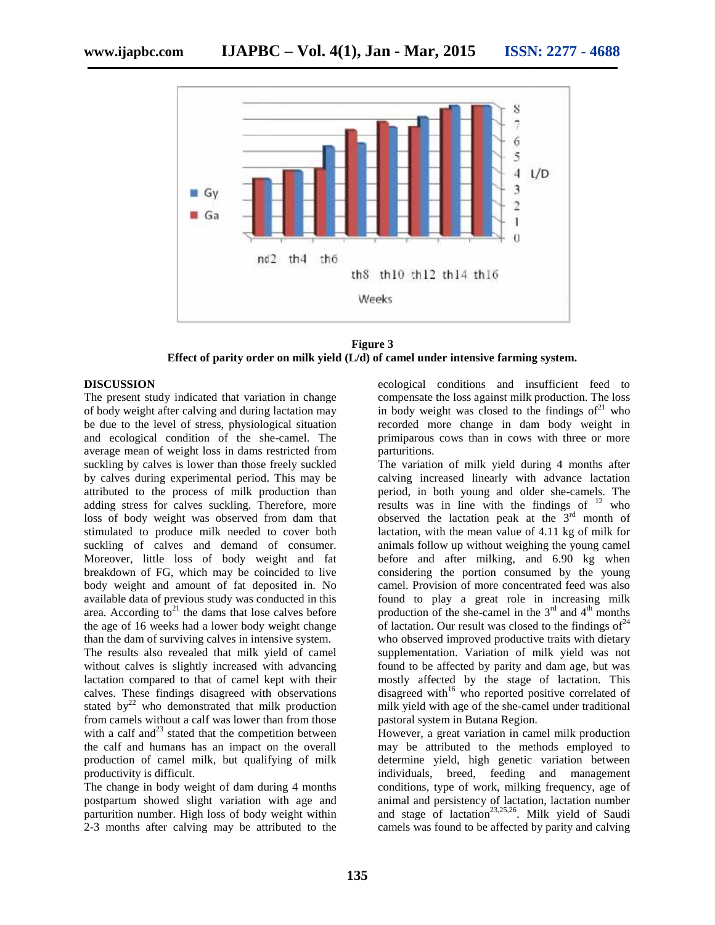

**Figure 3 Effect of parity order on milk yield (L/d) of camel under intensive farming system. Effect of** 

#### **DISCUSSION**

The present study indicated that variation in change of body weight after calving and during lactation may be due to the level of stress, physiological situation and ecological condition of the she-camel. The average mean of weight loss in dams restricted from suckling by calves is lower than those freely suckled by calves during experimental period. This may be attributed to the process of milk production than adding stress for calves suckling. Therefore, more loss of body weight was observed from dam that stimulated to produce milk needed to cover both stimulated to produce milk needed to cover both<br>suckling of calves and demand of consumer. Moreover, little loss of body weight and fat breakdown of FG, which may be coincided to live body weight and amount of fat deposited in. No available data of previous study was conducted in this area. According to<sup>21</sup> the dams that lose calves before the age of 16 weeks had a lower body weight change than the dam of surviving calves in intensive system. The present study indicated that variation in c<br>of body weight after calving and during lactation<br>be due to the level of stress, physiological sitt<br>and ecological condition of the she-camel.<br>average mean of weight loss in body weight and amount of fat deposited in. No<br>available data of previous study was conducted in this<br>area. According to<sup>21</sup> the dams that lose calves before<br>the age of 16 weeks had a lower body weight change

The results also revealed that milk yield of camel without calves is slightly increased with advancing lactation compared to that of camel kept with their calves. These findings disagreed with observations stated by $^{22}$  who demonstrated that milk production from camels without a calf was lower than from those with a calf and $^{23}$  stated that the competition between the calf and humans has an impact on the overall production of camel milk, but qualifying of milk productivity is difficult.

The change in body weight of dam during 4 months postpartum showed slight variation with age and parturition number. High loss of body weight within 2-3 months after calving may be attributed to the

ecological conditions and insufficient feed to compensate the loss against milk production. The loss in body weight was closed to the findings of $^{21}$  who recorded more change in dam body weight in primiparous cows than in cows with three or more parturitions.

The variation of milk yield during 4 months after calving increased linearly with advance lactation period, in both young and older she-camels. The results was in line with the findings of  $12$  who observed the lactation peak at the  $3<sup>rd</sup>$  month of lactation, with the mean value of 4.11 kg of milk for animals follow up without weighing the young camel before and after milking, and 6.90 kg when considering the portion consumed by the young camel. Provision of more concentrated feed was also found to play a great role in increasing milk production of the she-camel in the  $3<sup>rd</sup>$  and  $4<sup>th</sup>$  months of lactation. Our result was closed to the findings of  $24$ who observed improved productive traits with dietary supplementation. Variation of milk yield was not found to be affected by parity and dam age, but was mostly affected by the stage of lactation. This disagreed with $16$  who reported positive correlated of milk yield with age of the she-camel under traditional pastoral system in Butana Region. COISSION<br>TOESON<br>TENSION condition in change<br>compensate the loss against milk production. The loss<br>peyson is compensate the loss against milk production. The loss<br>peyson in exact that variation may in body weight was close

However, a great variation in camel milk production may be attributed to the methods employed to determine yield, high genetic variation between individuals, breed, feeding and management conditions, type of work, milking frequency, age of animal and persistency of lactation, lactation number and stage of lactation<sup>23,25,26</sup>. Milk yield of Saudi camels was found to be affected by parity and calving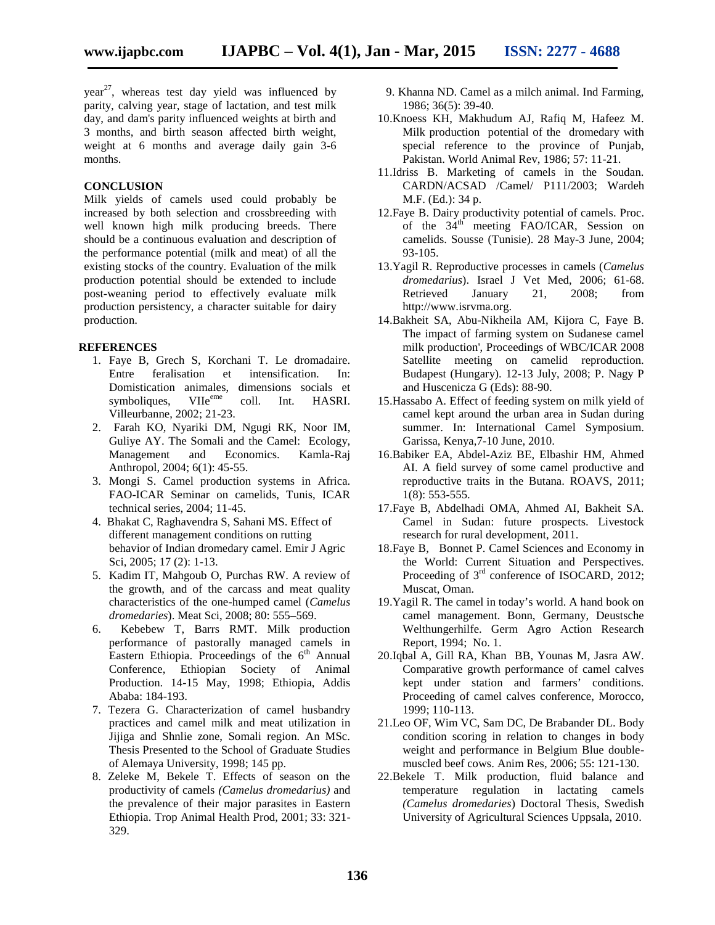year<sup>27</sup>, whereas test day yield was influenced by parity, calving year, stage of lactation, and test milk day, and dam's parity influenced weights at birth and 3 months, and birth season affected birth weight, weight at 6 months and average daily gain 3-6 months.

#### **CONCLUSION**

Milk yields of camels used could probably be increased by both selection and crossbreeding with well known high milk producing breeds. There should be a continuous evaluation and description of the performance potential (milk and meat) of all the existing stocks of the country. Evaluation of the milk production potential should be extended to include post-weaning period to effectively evaluate milk production persistency, a character suitable for dairy production.

#### **REFERENCES**

- 1. Faye B, Grech S, Korchani T. Le dromadaire. Entre feralisation et intensification. In: Domistication animales, dimensions socials et symboliques, VIIe<sup>eme</sup> coll. Int. HASRI. symboliques, VIIe<sup>eme</sup> coll. Int. HASRI. Villeurbanne, 2002; 21-23.
- 2. Farah KO, Nyariki DM, Ngugi RK, Noor IM, Guliye AY. The Somali and the Camel: Ecology, Management and Economics. Kamla-Raj Anthropol, 2004; 6(1): 45-55.
- 3. Mongi S. Camel production systems in Africa. FAO-ICAR Seminar on camelids, Tunis, ICAR technical series, 2004; 11-45.
- 4. Bhakat C, Raghavendra S, Sahani MS. Effect of different management conditions on rutting behavior of Indian dromedary camel. Emir J Agric Sci, 2005; 17 (2): 1-13.
- 5. Kadim IT, Mahgoub O, Purchas RW. A review of the growth, and of the carcass and meat quality characteristics of the one-humped camel (*Camelus dromedaries*). Meat Sci, 2008; 80: 555–569.
- 6. Kebebew T, Barrs RMT. Milk production performance of pastorally managed camels in Eastern Ethiopia. Proceedings of the  $6<sup>th</sup>$  Annual Conference, Ethiopian Society of Animal Production. 14-15 May, 1998; Ethiopia, Addis Ababa: 184-193.
- 7. Tezera G. Characterization of camel husbandry practices and camel milk and meat utilization in Jijiga and Shnlie zone, Somali region. An MSc. Thesis Presented to the School of Graduate Studies of Alemaya University, 1998; 145 pp.
- 8. Zeleke M, Bekele T. Effects of season on the productivity of camels *(Camelus dromedarius)* and the prevalence of their major parasites in Eastern Ethiopia. Trop Animal Health Prod, 2001; 33: 321- 329.
- 9. Khanna ND. Camel as a milch animal. Ind Farming, 1986; 36(5): 39-40.
- 10.Knoess KH, Makhudum AJ, Rafiq M, Hafeez M. Milk production potential of the dromedary with special reference to the province of Punjab, Pakistan. World Animal Rev, 1986; 57: 11-21.
- 11.Idriss B. Marketing of camels in the Soudan. CARDN/ACSAD /Camel/ P111/2003; Wardeh M.F. (Ed.): 34 p.
- 12.Faye B. Dairy productivity potential of camels. Proc. of the  $34<sup>th</sup>$  meeting FAO/ICAR, Session on camelids. Sousse (Tunisie). 28 May-3 June, 2004; 93-105.
- 13.Yagil R. Reproductive processes in camels (*Camelus dromedarius*). Israel J Vet Med, 2006; 61-68. Retrieved January 21, 2008; from http://www.isrvma.org.
- 14.Bakheit SA, Abu-Nikheila AM, Kijora C, Faye B. The impact of farming system on Sudanese camel milk production', Proceedings of WBC/ICAR 2008 Satellite meeting on camelid reproduction. Budapest (Hungary). 12-13 July, 2008; P. Nagy P and Huscenicza G (Eds): 88-90.
- 15.Hassabo A. Effect of feeding system on milk yield of camel kept around the urban area in Sudan during summer. In: International Camel Symposium. Garissa, Kenya,7-10 June, 2010.
- 16.Babiker EA, Abdel-Aziz BE, Elbashir HM, Ahmed AI. A field survey of some camel productive and reproductive traits in the Butana. ROAVS, 2011; 1(8): 553-555.
- 17.Faye B, Abdelhadi OMA, Ahmed AI, Bakheit SA. Camel in Sudan: future prospects. Livestock research for rural development, 2011.
- 18.Faye B, Bonnet P. Camel Sciences and Economy in the World: Current Situation and Perspectives. Proceeding of  $3<sup>rd</sup>$  conference of ISOCARD, 2012; Muscat, Oman.
- 19.Yagil R. The camel in today's world. A hand book on camel management. Bonn, Germany, Deustsche Welthungerhilfe. Germ Agro Action Research Report, 1994; No. 1.
- 20.Iqbal A, Gill RA, Khan BB, Younas M, Jasra AW. Comparative growth performance of camel calves kept under station and farmers' conditions. Proceeding of camel calves conference, Morocco, 1999; 110-113.
- 21.Leo OF, Wim VC, Sam DC, De Brabander DL. Body condition scoring in relation to changes in body weight and performance in Belgium Blue double muscled beef cows. Anim Res, 2006; 55: 121-130.
- 22.Bekele T. Milk production, fluid balance and temperature regulation in lactating camels *(Camelus dromedaries*) Doctoral Thesis, Swedish University of Agricultural Sciences Uppsala, 2010.